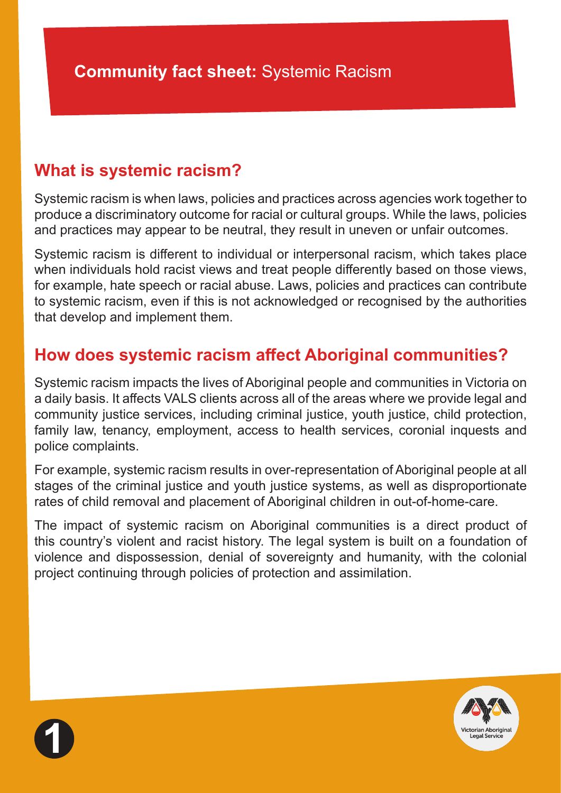# **What is systemic racism?**

Systemic racism is when laws, policies and practices across agencies work together to produce a discriminatory outcome for racial or cultural groups. While the laws, policies and practices may appear to be neutral, they result in uneven or unfair outcomes.

Systemic racism is different to individual or interpersonal racism, which takes place when individuals hold racist views and treat people differently based on those views, for example, hate speech or racial abuse. Laws, policies and practices can contribute to systemic racism, even if this is not acknowledged or recognised by the authorities that develop and implement them.

# **How does systemic racism affect Aboriginal communities?**

Systemic racism impacts the lives of Aboriginal people and communities in Victoria on a daily basis. It affects VALS clients across all of the areas where we provide legal and community justice services, including criminal justice, youth justice, child protection, family law, tenancy, employment, access to health services, coronial inquests and police complaints.

For example, systemic racism results in over-representation of Aboriginal people at all stages of the criminal justice and youth justice systems, as well as disproportionate rates of child removal and placement of Aboriginal children in out-of-home-care.

The impact of systemic racism on Aboriginal communities is a direct product of this country's violent and racist history. The legal system is built on a foundation of violence and dispossession, denial of sovereignty and humanity, with the colonial project continuing through policies of protection and assimilation.



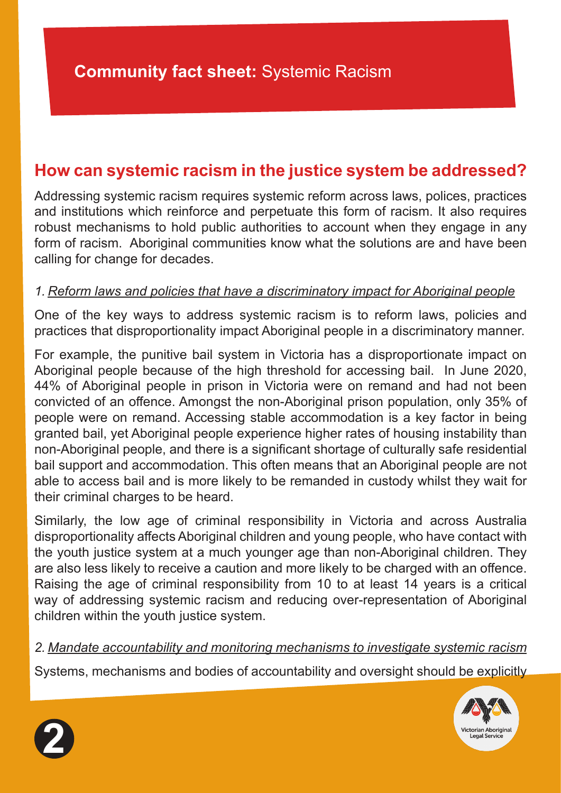## **How can systemic racism in the justice system be addressed?**

Addressing systemic racism requires systemic reform across laws, polices, practices and institutions which reinforce and perpetuate this form of racism. It also requires robust mechanisms to hold public authorities to account when they engage in any form of racism. Aboriginal communities know what the solutions are and have been calling for change for decades.

#### *1. Reform laws and policies that have a discriminatory impact for Aboriginal people*

One of the key ways to address systemic racism is to reform laws, policies and practices that disproportionality impact Aboriginal people in a discriminatory manner.

For example, the punitive bail system in Victoria has a disproportionate impact on Aboriginal people because of the high threshold for accessing bail. In June 2020, 44% of Aboriginal people in prison in Victoria were on remand and had not been convicted of an offence. Amongst the non-Aboriginal prison population, only 35% of people were on remand. Accessing stable accommodation is a key factor in being granted bail, yet Aboriginal people experience higher rates of housing instability than non-Aboriginal people, and there is a significant shortage of culturally safe residential bail support and accommodation. This often means that an Aboriginal people are not able to access bail and is more likely to be remanded in custody whilst they wait for their criminal charges to be heard.

Similarly, the low age of criminal responsibility in Victoria and across Australia disproportionality affects Aboriginal children and young people, who have contact with the youth justice system at a much younger age than non-Aboriginal children. They are also less likely to receive a caution and more likely to be charged with an offence. Raising the age of criminal responsibility from 10 to at least 14 years is a critical way of addressing systemic racism and reducing over-representation of Aboriginal children within the youth justice system.

#### *2. Mandate accountability and monitoring mechanisms to investigate systemic racism*

Systems, mechanisms and bodies of accountability and oversight should be explicitly



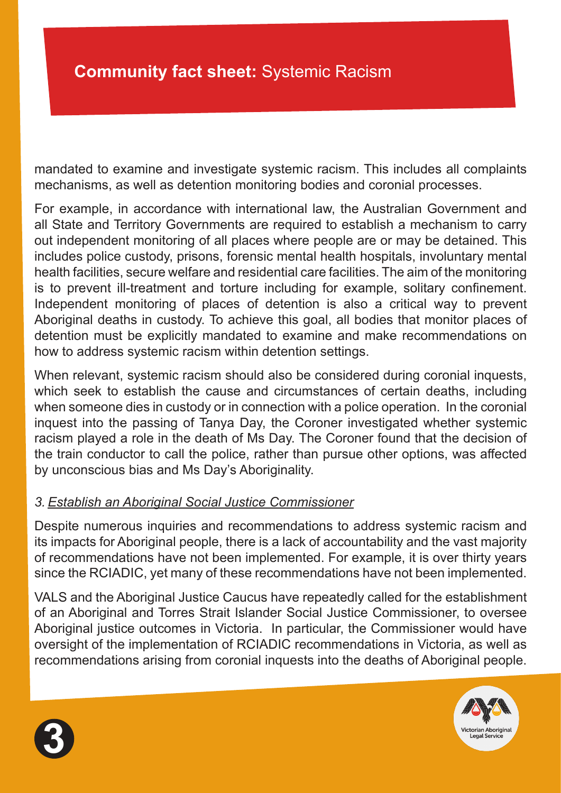mandated to examine and investigate systemic racism. This includes all complaints mechanisms, as well as detention monitoring bodies and coronial processes.

For example, in accordance with international law, the Australian Government and all State and Territory Governments are required to establish a mechanism to carry out independent monitoring of all places where people are or may be detained. This includes police custody, prisons, forensic mental health hospitals, involuntary mental health facilities, secure welfare and residential care facilities. The aim of the monitoring is to prevent ill-treatment and torture including for example, solitary confinement. Independent monitoring of places of detention is also a critical way to prevent Aboriginal deaths in custody. To achieve this goal, all bodies that monitor places of detention must be explicitly mandated to examine and make recommendations on how to address systemic racism within detention settings.

When relevant, systemic racism should also be considered during coronial inquests, which seek to establish the cause and circumstances of certain deaths, including when someone dies in custody or in connection with a police operation. In the coronial inquest into the passing of Tanya Day, the Coroner investigated whether systemic racism played a role in the death of Ms Day. The Coroner found that the decision of the train conductor to call the police, rather than pursue other options, was affected by unconscious bias and Ms Day's Aboriginality.

#### *3. Establish an Aboriginal Social Justice Commissioner*

Despite numerous inquiries and recommendations to address systemic racism and its impacts for Aboriginal people, there is a lack of accountability and the vast majority of recommendations have not been implemented. For example, it is over thirty years since the RCIADIC, yet many of these recommendations have not been implemented.

VALS and the Aboriginal Justice Caucus have repeatedly called for the establishment of an Aboriginal and Torres Strait Islander Social Justice Commissioner, to oversee Aboriginal justice outcomes in Victoria. In particular, the Commissioner would have oversight of the implementation of RCIADIC recommendations in Victoria, as well as recommendations arising from coronial inquests into the deaths of Aboriginal people.